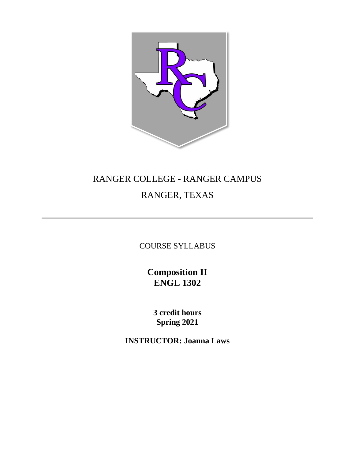

# RANGER COLLEGE - RANGER CAMPUS RANGER, TEXAS

COURSE SYLLABUS

**Composition II ENGL 1302**

**3 credit hours Spring 2021**

**INSTRUCTOR: Joanna Laws**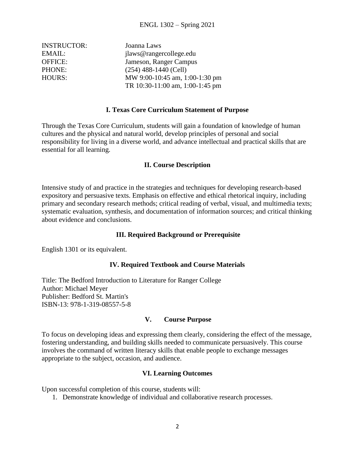| <b>INSTRUCTOR:</b> | Joanna Laws                     |
|--------------------|---------------------------------|
| EMAIL:             | jlaws@rangercollege.edu         |
| <b>OFFICE:</b>     | Jameson, Ranger Campus          |
| PHONE:             | $(254)$ 488-1440 (Cell)         |
| <b>HOURS:</b>      | MW 9:00-10:45 am, 1:00-1:30 pm  |
|                    | TR 10:30-11:00 am, 1:00-1:45 pm |

## **I. Texas Core Curriculum Statement of Purpose**

Through the Texas Core Curriculum, students will gain a foundation of knowledge of human cultures and the physical and natural world, develop principles of personal and social responsibility for living in a diverse world, and advance intellectual and practical skills that are essential for all learning.

## **II. Course Description**

Intensive study of and practice in the strategies and techniques for developing research-based expository and persuasive texts. Emphasis on effective and ethical rhetorical inquiry, including primary and secondary research methods; critical reading of verbal, visual, and multimedia texts; systematic evaluation, synthesis, and documentation of information sources; and critical thinking about evidence and conclusions.

## **III. Required Background or Prerequisite**

English 1301 or its equivalent.

## **IV. Required Textbook and Course Materials**

Title: The Bedford Introduction to Literature for Ranger College Author: Michael Meyer Publisher: Bedford St. Martin's ISBN-13: 978-1-319-08557-5-8

## **V. Course Purpose**

To focus on developing ideas and expressing them clearly, considering the effect of the message, fostering understanding, and building skills needed to communicate persuasively. This course involves the command of written literacy skills that enable people to exchange messages appropriate to the subject, occasion, and audience.

## **VI. Learning Outcomes**

Upon successful completion of this course, students will:

1. Demonstrate knowledge of individual and collaborative research processes.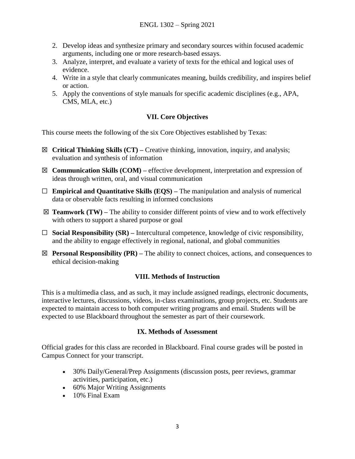- 2. Develop ideas and synthesize primary and secondary sources within focused academic arguments, including one or more research-based essays.
- 3. Analyze, interpret, and evaluate a variety of texts for the ethical and logical uses of evidence.
- 4. Write in a style that clearly communicates meaning, builds credibility, and inspires belief or action.
- 5. Apply the conventions of style manuals for specific academic disciplines (e.g., APA, CMS, MLA, etc.)

# **VII. Core Objectives**

This course meets the following of the six Core Objectives established by Texas:

- ☒ **Critical Thinking Skills (CT) –** Creative thinking, innovation, inquiry, and analysis; evaluation and synthesis of information
- ☒ **Communication Skills (COM) –** effective development, interpretation and expression of ideas through written, oral, and visual communication
- ☐ **Empirical and Quantitative Skills (EQS) –** The manipulation and analysis of numerical data or observable facts resulting in informed conclusions
- $\boxtimes$  **Teamwork (TW)** The ability to consider different points of view and to work effectively with others to support a shared purpose or goal
- ☐ **Social Responsibility (SR) –** Intercultural competence, knowledge of civic responsibility, and the ability to engage effectively in regional, national, and global communities
- $\boxtimes$  **Personal Responsibility (PR)** The ability to connect choices, actions, and consequences to ethical decision-making

# **VIII. Methods of Instruction**

This is a multimedia class, and as such, it may include assigned readings, electronic documents, interactive lectures, discussions, videos, in-class examinations, group projects, etc. Students are expected to maintain access to both computer writing programs and email. Students will be expected to use Blackboard throughout the semester as part of their coursework.

## **IX. Methods of Assessment**

Official grades for this class are recorded in Blackboard. Final course grades will be posted in Campus Connect for your transcript.

- 30% Daily/General/Prep Assignments (discussion posts, peer reviews, grammar activities, participation, etc.)
- 60% Major Writing Assignments
- 10% Final Exam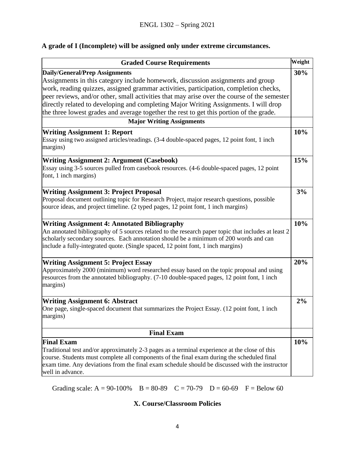# **A grade of I (Incomplete) will be assigned only under extreme circumstances.**

| Weight<br><b>Graded Course Requirements</b>                                                                                                                                                                                                                                                                                             |     |
|-----------------------------------------------------------------------------------------------------------------------------------------------------------------------------------------------------------------------------------------------------------------------------------------------------------------------------------------|-----|
| <b>Daily/General/Prep Assignments</b><br>Assignments in this category include homework, discussion assignments and group<br>work, reading quizzes, assigned grammar activities, participation, completion checks,<br>peer reviews, and/or other, small activities that may arise over the course of the semester                        | 30% |
| directly related to developing and completing Major Writing Assignments. I will drop<br>the three lowest grades and average together the rest to get this portion of the grade.                                                                                                                                                         |     |
| <b>Major Writing Assignments</b>                                                                                                                                                                                                                                                                                                        |     |
| <b>Writing Assignment 1: Report</b><br>Essay using two assigned articles/readings. (3-4 double-spaced pages, 12 point font, 1 inch<br>margins)                                                                                                                                                                                          | 10% |
| <b>Writing Assignment 2: Argument (Casebook)</b><br>Essay using 3-5 sources pulled from casebook resources. (4-6 double-spaced pages, 12 point<br>font, 1 inch margins)                                                                                                                                                                 |     |
| <b>Writing Assignment 3: Project Proposal</b><br>Proposal document outlining topic for Research Project, major research questions, possible<br>source ideas, and project timeline. (2 typed pages, 12 point font, 1 inch margins)                                                                                                       |     |
| <b>Writing Assignment 4: Annotated Bibliography</b><br>An annotated bibliography of 5 sources related to the research paper topic that includes at least 2<br>scholarly secondary sources. Each annotation should be a minimum of 200 words and can<br>include a fully-integrated quote. (Single spaced, 12 point font, 1 inch margins) |     |
| <b>Writing Assignment 5: Project Essay</b><br>Approximately 2000 (minimum) word researched essay based on the topic proposal and using<br>resources from the annotated bibliography. (7-10 double-spaced pages, 12 point font, 1 inch<br>margins)                                                                                       | 20% |
| <b>Writing Assignment 6: Abstract</b><br>One page, single-spaced document that summarizes the Project Essay. (12 point font, 1 inch<br>margins)                                                                                                                                                                                         | 2%  |
| <b>Final Exam</b>                                                                                                                                                                                                                                                                                                                       |     |
| <b>Final Exam</b><br>Traditional test and/or approximately 2-3 pages as a terminal experience at the close of this<br>course. Students must complete all components of the final exam during the scheduled final<br>exam time. Any deviations from the final exam schedule should be discussed with the instructor<br>well in advance.  | 10% |

Grading scale:  $A = 90-100\%$  B = 80-89 C = 70-79 D = 60-69 F = Below 60

# **X. Course/Classroom Policies**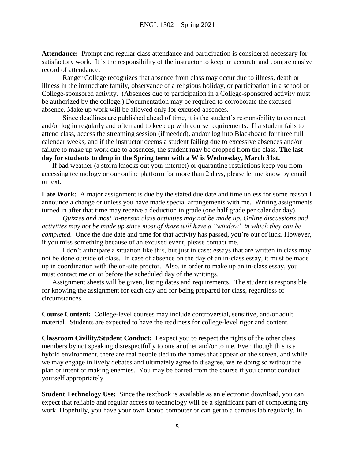**Attendance:** Prompt and regular class attendance and participation is considered necessary for satisfactory work. It is the responsibility of the instructor to keep an accurate and comprehensive record of attendance.

Ranger College recognizes that absence from class may occur due to illness, death or illness in the immediate family, observance of a religious holiday, or participation in a school or College-sponsored activity. (Absences due to participation in a College-sponsored activity must be authorized by the college.) Documentation may be required to corroborate the excused absence. Make up work will be allowed only for excused absences.

Since deadlines are published ahead of time, it is the student's responsibility to connect and/or log in regularly and often and to keep up with course requirements. If a student fails to attend class, access the streaming session (if needed), and/or log into Blackboard for three full calendar weeks, and if the instructor deems a student failing due to excessive absences and/or failure to make up work due to absences, the student **may** be dropped from the class. **The last day for students to drop in the Spring term with a W is Wednesday, March 31st.**

If bad weather (a storm knocks out your internet) or quarantine restrictions keep you from accessing technology or our online platform for more than 2 days, please let me know by email or text.

Late Work: A major assignment is due by the stated due date and time unless for some reason I announce a change or unless you have made special arrangements with me. Writing assignments turned in after that time may receive a deduction in grade (one half grade per calendar day).

*Quizzes and most in-person class activities may not be made up. Online discussions and activities may not be made up since most of those will have a "window" in which they can be completed.* Once the due date and time for that activity has passed, you're out of luck. However, if you miss something because of an excused event, please contact me.

I don't anticipate a situation like this, but just in case: essays that are written in class may not be done outside of class. In case of absence on the day of an in-class essay, it must be made up in coordination with the on-site proctor. Also, in order to make up an in-class essay, you must contact me on or before the scheduled day of the writings.

Assignment sheets will be given, listing dates and requirements. The student is responsible for knowing the assignment for each day and for being prepared for class, regardless of circumstances.

**Course Content:** College-level courses may include controversial, sensitive, and/or adult material. Students are expected to have the readiness for college-level rigor and content.

**Classroom Civility/Student Conduct:** I expect you to respect the rights of the other class members by not speaking disrespectfully to one another and/or to me. Even though this is a hybrid environment, there are real people tied to the names that appear on the screen, and while we may engage in lively debates and ultimately agree to disagree, we're doing so without the plan or intent of making enemies. You may be barred from the course if you cannot conduct yourself appropriately.

**Student Technology Use:** Since the textbook is available as an electronic download, you can expect that reliable and regular access to technology will be a significant part of completing any work. Hopefully, you have your own laptop computer or can get to a campus lab regularly. In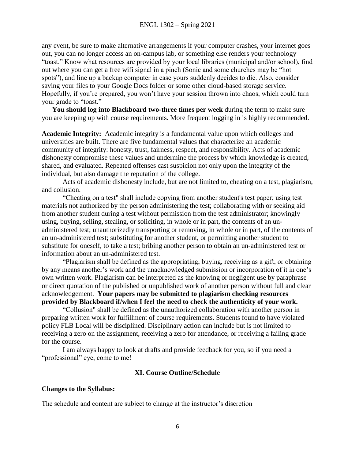any event, be sure to make alternative arrangements if your computer crashes, your internet goes out, you can no longer access an on-campus lab, or something else renders your technology "toast." Know what resources are provided by your local libraries (municipal and/or school), find out where you can get a free wifi signal in a pinch (Sonic and some churches may be "hot spots"), and line up a backup computer in case yours suddenly decides to die. Also, consider saving your files to your Google Docs folder or some other cloud-based storage service. Hopefully, if you're prepared, you won't have your session thrown into chaos, which could turn your grade to "toast."

**You should log into Blackboard two-three times per week** during the term to make sure you are keeping up with course requirements. More frequent logging in is highly recommended.

**Academic Integrity:** Academic integrity is a fundamental value upon which colleges and universities are built. There are five fundamental values that characterize an academic community of integrity: honesty, trust, fairness, respect, and responsibility. Acts of academic dishonesty compromise these values and undermine the process by which knowledge is created, shared, and evaluated. Repeated offenses cast suspicion not only upon the integrity of the individual, but also damage the reputation of the college.

Acts of academic dishonesty include, but are not limited to, cheating on a test, plagiarism, and collusion.

"Cheating on a test" shall include copying from another student's test paper; using test materials not authorized by the person administering the test; collaborating with or seeking aid from another student during a test without permission from the test administrator; knowingly using, buying, selling, stealing, or soliciting, in whole or in part, the contents of an unadministered test; unauthorizedly transporting or removing, in whole or in part, of the contents of an un-administered test; substituting for another student, or permitting another student to substitute for oneself, to take a test; bribing another person to obtain an un-administered test or information about an un-administered test.

"Plagiarism shall be defined as the appropriating, buying, receiving as a gift, or obtaining by any means another's work and the unacknowledged submission or incorporation of it in one's own written work. Plagiarism can be interpreted as the knowing or negligent use by paraphrase or direct quotation of the published or unpublished work of another person without full and clear acknowledgement. **Your papers may be submitted to plagiarism checking resources provided by Blackboard if/when I feel the need to check the authenticity of your work.**

"Collusion" shall be defined as the unauthorized collaboration with another person in preparing written work for fulfillment of course requirements. Students found to have violated policy FLB Local will be disciplined. Disciplinary action can include but is not limited to receiving a zero on the assignment, receiving a zero for attendance, or receiving a failing grade for the course.

I am always happy to look at drafts and provide feedback for you, so if you need a "professional" eye, come to me!

## **XI. Course Outline/Schedule**

## **Changes to the Syllabus:**

The schedule and content are subject to change at the instructor's discretion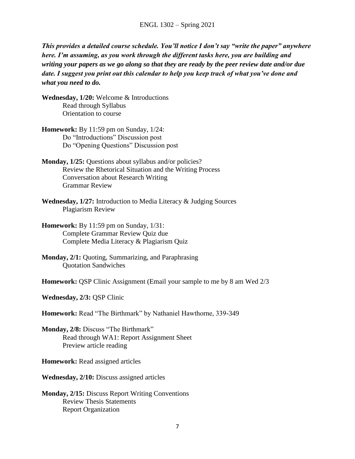*This provides a detailed course schedule. You'll notice I don't say "write the paper" anywhere here. I'm assuming, as you work through the different tasks here, you are building and writing your papers as we go along so that they are ready by the peer review date and/or due date. I suggest you print out this calendar to help you keep track of what you've done and what you need to do.* 

**Wednesday, 1/20:** Welcome & Introductions Read through Syllabus Orientation to course

**Homework:** By 11:59 pm on Sunday, 1/24: Do "Introductions" Discussion post Do "Opening Questions" Discussion post

**Monday, 1/25:** Questions about syllabus and/or policies? Review the Rhetorical Situation and the Writing Process Conversation about Research Writing Grammar Review

**Wednesday, 1/27:** Introduction to Media Literacy & Judging Sources Plagiarism Review

**Homework:** By 11:59 pm on Sunday, 1/31: Complete Grammar Review Quiz due Complete Media Literacy & Plagiarism Quiz

**Monday, 2/1:** Quoting, Summarizing, and Paraphrasing Quotation Sandwiches

**Homework:** QSP Clinic Assignment (Email your sample to me by 8 am Wed 2/3

**Wednesday, 2/3:** QSP Clinic

**Homework:** Read "The Birthmark" by Nathaniel Hawthorne, 339-349

**Monday, 2/8:** Discuss "The Birthmark" Read through WA1: Report Assignment Sheet Preview article reading

**Homework:** Read assigned articles

**Wednesday, 2/10:** Discuss assigned articles

**Monday, 2/15:** Discuss Report Writing Conventions Review Thesis Statements Report Organization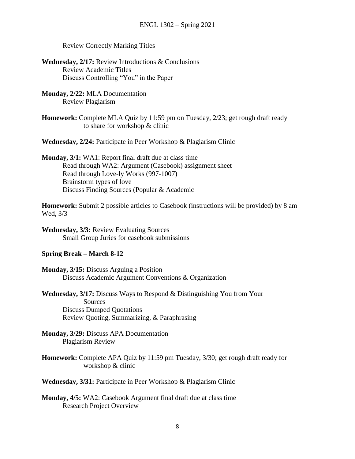Review Correctly Marking Titles

- **Wednesday, 2/17:** Review Introductions & Conclusions Review Academic Titles Discuss Controlling "You" in the Paper
- **Monday, 2/22:** MLA Documentation Review Plagiarism
- **Homework:** Complete MLA Quiz by 11:59 pm on Tuesday, 2/23; get rough draft ready to share for workshop & clinic

**Wednesday, 2/24:** Participate in Peer Workshop & Plagiarism Clinic

**Monday, 3/1:** WA1: Report final draft due at class time Read through WA2: Argument (Casebook) assignment sheet Read through Love-ly Works (997-1007) Brainstorm types of love Discuss Finding Sources (Popular & Academic

**Homework:** Submit 2 possible articles to Casebook (instructions will be provided) by 8 am Wed, 3/3

**Wednesday, 3/3:** Review Evaluating Sources Small Group Juries for casebook submissions

## **Spring Break – March 8-12**

**Monday, 3/15:** Discuss Arguing a Position Discuss Academic Argument Conventions & Organization

- **Wednesday, 3/17:** Discuss Ways to Respond & Distinguishing You from Your Sources Discuss Dumped Quotations Review Quoting, Summarizing, & Paraphrasing
- **Monday, 3/29:** Discuss APA Documentation Plagiarism Review
- **Homework:** Complete APA Quiz by 11:59 pm Tuesday, 3/30; get rough draft ready for workshop & clinic

**Wednesday, 3/31:** Participate in Peer Workshop & Plagiarism Clinic

**Monday, 4/5:** WA2: Casebook Argument final draft due at class time Research Project Overview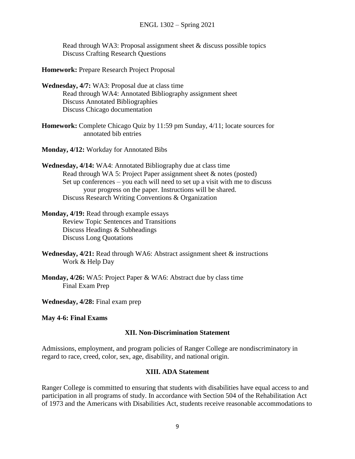Read through WA3: Proposal assignment sheet & discuss possible topics Discuss Crafting Research Questions

**Homework:** Prepare Research Project Proposal

- **Wednesday, 4/7:** WA3: Proposal due at class time Read through WA4: Annotated Bibliography assignment sheet Discuss Annotated Bibliographies Discuss Chicago documentation
- **Homework:** Complete Chicago Quiz by 11:59 pm Sunday, 4/11; locate sources for annotated bib entries

**Monday, 4/12:** Workday for Annotated Bibs

- **Wednesday, 4/14:** WA4: Annotated Bibliography due at class time Read through WA 5: Project Paper assignment sheet & notes (posted) Set up conferences – you each will need to set up a visit with me to discuss your progress on the paper. Instructions will be shared. Discuss Research Writing Conventions & Organization
- **Monday, 4/19:** Read through example essays Review Topic Sentences and Transitions Discuss Headings & Subheadings Discuss Long Quotations
- **Wednesday, 4/21:** Read through WA6: Abstract assignment sheet & instructions Work & Help Day
- **Monday, 4/26:** WA5: Project Paper & WA6: Abstract due by class time Final Exam Prep

**Wednesday, 4/28:** Final exam prep

#### **May 4-6: Final Exams**

#### **XII. Non-Discrimination Statement**

Admissions, employment, and program policies of Ranger College are nondiscriminatory in regard to race, creed, color, sex, age, disability, and national origin.

#### **XIII. ADA Statement**

Ranger College is committed to ensuring that students with disabilities have equal access to and participation in all programs of study. In accordance with Section 504 of the Rehabilitation Act of 1973 and the Americans with Disabilities Act, students receive reasonable accommodations to